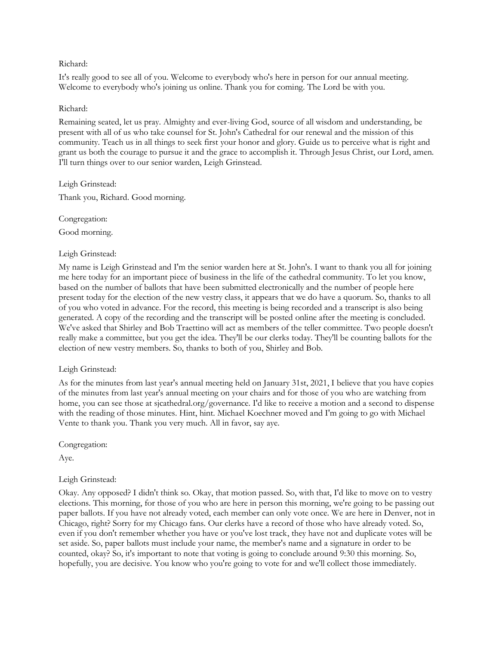### Richard:

It's really good to see all of you. Welcome to everybody who's here in person for our annual meeting. Welcome to everybody who's joining us online. Thank you for coming. The Lord be with you.

### Richard:

Remaining seated, let us pray. Almighty and ever-living God, source of all wisdom and understanding, be present with all of us who take counsel for St. John's Cathedral for our renewal and the mission of this community. Teach us in all things to seek first your honor and glory. Guide us to perceive what is right and grant us both the courage to pursue it and the grace to accomplish it. Through Jesus Christ, our Lord, amen. I'll turn things over to our senior warden, Leigh Grinstead.

Leigh Grinstead:

Thank you, Richard. Good morning.

Congregation:

Good morning.

# Leigh Grinstead:

My name is Leigh Grinstead and I'm the senior warden here at St. John's. I want to thank you all for joining me here today for an important piece of business in the life of the cathedral community. To let you know, based on the number of ballots that have been submitted electronically and the number of people here present today for the election of the new vestry class, it appears that we do have a quorum. So, thanks to all of you who voted in advance. For the record, this meeting is being recorded and a transcript is also being generated. A copy of the recording and the transcript will be posted online after the meeting is concluded. We've asked that Shirley and Bob Traettino will act as members of the teller committee. Two people doesn't really make a committee, but you get the idea. They'll be our clerks today. They'll be counting ballots for the election of new vestry members. So, thanks to both of you, Shirley and Bob.

#### Leigh Grinstead:

As for the minutes from last year's annual meeting held on January 31st, 2021, I believe that you have copies of the minutes from last year's annual meeting on your chairs and for those of you who are watching from home, you can see those at sjcathedral.org/governance. I'd like to receive a motion and a second to dispense with the reading of those minutes. Hint, hint. Michael Koechner moved and I'm going to go with Michael Vente to thank you. Thank you very much. All in favor, say aye.

Congregation:

Aye.

# Leigh Grinstead:

Okay. Any opposed? I didn't think so. Okay, that motion passed. So, with that, I'd like to move on to vestry elections. This morning, for those of you who are here in person this morning, we're going to be passing out paper ballots. If you have not already voted, each member can only vote once. We are here in Denver, not in Chicago, right? Sorry for my Chicago fans. Our clerks have a record of those who have already voted. So, even if you don't remember whether you have or you've lost track, they have not and duplicate votes will be set aside. So, paper ballots must include your name, the member's name and a signature in order to be counted, okay? So, it's important to note that voting is going to conclude around 9:30 this morning. So, hopefully, you are decisive. You know who you're going to vote for and we'll collect those immediately.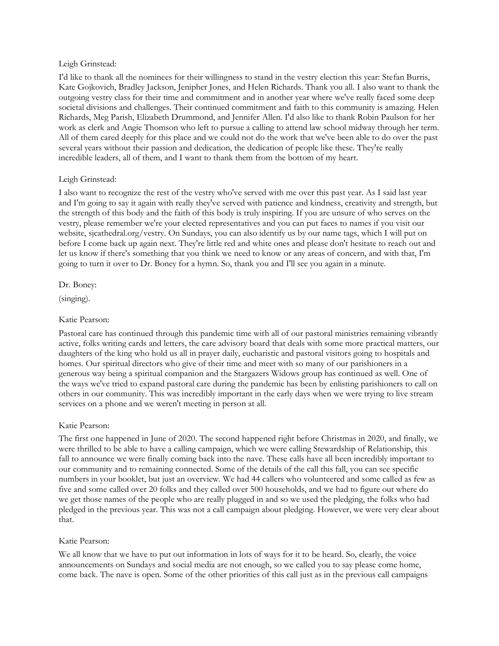### Leigh Grinstead:

I'd like to thank all the nominees for their willingness to stand in the vestry election this year: Stefan Burris, Kate Gojkovich, Bradley Jackson, Jenipher Jones, and Helen Richards. Thank you all. I also want to thank the outgoing vestry class for their time and commitment and in another year where we've really faced some deep societal divisions and challenges. Their continued commitment and faith to this community is amazing. Helen Richards, Meg Parish, Elizabeth Drummond, and Jennifer Allen. I'd also like to thank Robin Paulson for her work as clerk and Angie Thomson who left to pursue a calling to attend law school midway through her term. All of them cared deeply for this place and we could not do the work that we've been able to do over the past several years without their passion and dedication, the dedication of people like these. They're really incredible leaders, all of them, and I want to thank them from the bottom of my heart.

# Leigh Grinstead:

I also want to recognize the rest of the vestry who've served with me over this past year. As I said last year and I'm going to say it again with really they've served with patience and kindness, creativity and strength, but the strength of this body and the faith of this body is truly inspiring. If you are unsure of who serves on the vestry, please remember we're your elected representatives and you can put faces to names if you visit our website, sjcathedral.org/vestry. On Sundays, you can also identify us by our name tags, which I will put on before I come back up again next. They're little red and white ones and please don't hesitate to reach out and let us know if there's something that you think we need to know or any areas of concern, and with that, I'm going to turn it over to Dr. Boney for a hymn. So, thank you and I'll see you again in a minute.

Dr. Boney:

(singing).

## Katie Pearson:

Pastoral care has continued through this pandemic time with all of our pastoral ministries remaining vibrantly active, folks writing cards and letters, the care advisory board that deals with some more practical matters, our daughters of the king who hold us all in prayer daily, eucharistic and pastoral visitors going to hospitals and homes. Our spiritual directors who give of their time and meet with so many of our parishioners in a generous way being a spiritual companion and the Stargazers Widows group has continued as well. One of the ways we've tried to expand pastoral care during the pandemic has been by enlisting parishioners to call on others in our community. This was incredibly important in the early days when we were trying to live stream services on a phone and we weren't meeting in person at all.

# Katie Pearson:

The first one happened in June of 2020. The second happened right before Christmas in 2020, and finally, we were thrilled to be able to have a calling campaign, which we were calling Stewardship of Relationship, this fall to announce we were finally coming back into the nave. These calls have all been incredibly important to our community and to remaining connected. Some of the details of the call this fall, you can see specific numbers in your booklet, but just an overview. We had 44 callers who volunteered and some called as few as five and some called over 20 folks and they called over 500 households, and we had to figure out where do we get those names of the people who are really plugged in and so we used the pledging, the folks who had pledged in the previous year. This was not a call campaign about pledging. However, we were very clear about that.

# Katie Pearson:

We all know that we have to put out information in lots of ways for it to be heard. So, clearly, the voice announcements on Sundays and social media are not enough, so we called you to say please come home, come back. The nave is open. Some of the other priorities of this call just as in the previous call campaigns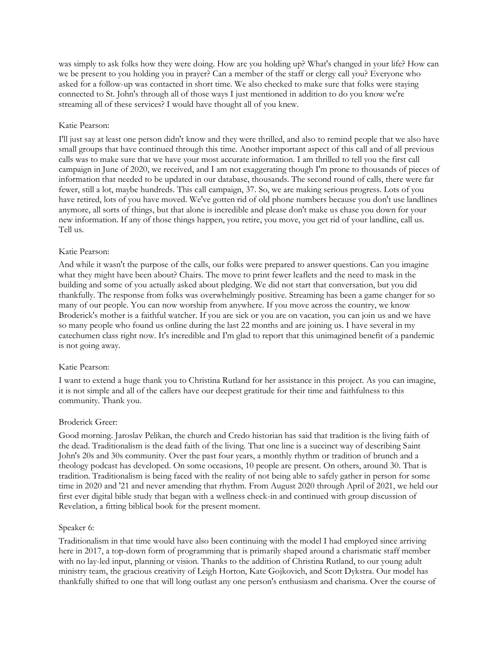was simply to ask folks how they were doing. How are you holding up? What's changed in your life? How can we be present to you holding you in prayer? Can a member of the staff or clergy call you? Everyone who asked for a follow-up was contacted in short time. We also checked to make sure that folks were staying connected to St. John's through all of those ways I just mentioned in addition to do you know we're streaming all of these services? I would have thought all of you knew.

## Katie Pearson:

I'll just say at least one person didn't know and they were thrilled, and also to remind people that we also have small groups that have continued through this time. Another important aspect of this call and of all previous calls was to make sure that we have your most accurate information. I am thrilled to tell you the first call campaign in June of 2020, we received, and I am not exaggerating though I'm prone to thousands of pieces of information that needed to be updated in our database, thousands. The second round of calls, there were far fewer, still a lot, maybe hundreds. This call campaign, 37. So, we are making serious progress. Lots of you have retired, lots of you have moved. We've gotten rid of old phone numbers because you don't use landlines anymore, all sorts of things, but that alone is incredible and please don't make us chase you down for your new information. If any of those things happen, you retire, you move, you get rid of your landline, call us. Tell us.

### Katie Pearson:

And while it wasn't the purpose of the calls, our folks were prepared to answer questions. Can you imagine what they might have been about? Chairs. The move to print fewer leaflets and the need to mask in the building and some of you actually asked about pledging. We did not start that conversation, but you did thankfully. The response from folks was overwhelmingly positive. Streaming has been a game changer for so many of our people. You can now worship from anywhere. If you move across the country, we know Broderick's mother is a faithful watcher. If you are sick or you are on vacation, you can join us and we have so many people who found us online during the last 22 months and are joining us. I have several in my catechumen class right now. It's incredible and I'm glad to report that this unimagined benefit of a pandemic is not going away.

# Katie Pearson:

I want to extend a huge thank you to Christina Rutland for her assistance in this project. As you can imagine, it is not simple and all of the callers have our deepest gratitude for their time and faithfulness to this community. Thank you.

# Broderick Greer:

Good morning. Jaroslav Pelikan, the church and Credo historian has said that tradition is the living faith of the dead. Traditionalism is the dead faith of the living. That one line is a succinct way of describing Saint John's 20s and 30s community. Over the past four years, a monthly rhythm or tradition of brunch and a theology podcast has developed. On some occasions, 10 people are present. On others, around 30. That is tradition. Traditionalism is being faced with the reality of not being able to safely gather in person for some time in 2020 and '21 and never amending that rhythm. From August 2020 through April of 2021, we held our first ever digital bible study that began with a wellness check-in and continued with group discussion of Revelation, a fitting biblical book for the present moment.

#### Speaker 6:

Traditionalism in that time would have also been continuing with the model I had employed since arriving here in 2017, a top-down form of programming that is primarily shaped around a charismatic staff member with no lay-led input, planning or vision. Thanks to the addition of Christina Rutland, to our young adult ministry team, the gracious creativity of Leigh Horton, Kate Gojkovich, and Scott Dykstra. Our model has thankfully shifted to one that will long outlast any one person's enthusiasm and charisma. Over the course of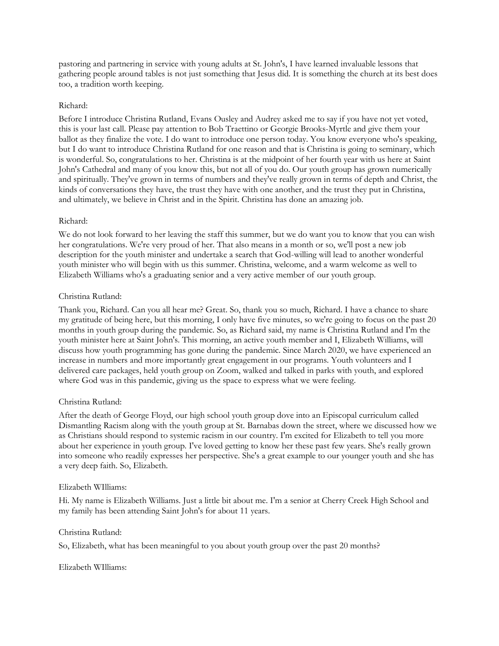pastoring and partnering in service with young adults at St. John's, I have learned invaluable lessons that gathering people around tables is not just something that Jesus did. It is something the church at its best does too, a tradition worth keeping.

## Richard:

Before I introduce Christina Rutland, Evans Ousley and Audrey asked me to say if you have not yet voted, this is your last call. Please pay attention to Bob Traettino or Georgie Brooks-Myrtle and give them your ballot as they finalize the vote. I do want to introduce one person today. You know everyone who's speaking, but I do want to introduce Christina Rutland for one reason and that is Christina is going to seminary, which is wonderful. So, congratulations to her. Christina is at the midpoint of her fourth year with us here at Saint John's Cathedral and many of you know this, but not all of you do. Our youth group has grown numerically and spiritually. They've grown in terms of numbers and they've really grown in terms of depth and Christ, the kinds of conversations they have, the trust they have with one another, and the trust they put in Christina, and ultimately, we believe in Christ and in the Spirit. Christina has done an amazing job.

### Richard:

We do not look forward to her leaving the staff this summer, but we do want you to know that you can wish her congratulations. We're very proud of her. That also means in a month or so, we'll post a new job description for the youth minister and undertake a search that God-willing will lead to another wonderful youth minister who will begin with us this summer. Christina, welcome, and a warm welcome as well to Elizabeth Williams who's a graduating senior and a very active member of our youth group.

### Christina Rutland:

Thank you, Richard. Can you all hear me? Great. So, thank you so much, Richard. I have a chance to share my gratitude of being here, but this morning, I only have five minutes, so we're going to focus on the past 20 months in youth group during the pandemic. So, as Richard said, my name is Christina Rutland and I'm the youth minister here at Saint John's. This morning, an active youth member and I, Elizabeth Williams, will discuss how youth programming has gone during the pandemic. Since March 2020, we have experienced an increase in numbers and more importantly great engagement in our programs. Youth volunteers and I delivered care packages, held youth group on Zoom, walked and talked in parks with youth, and explored where God was in this pandemic, giving us the space to express what we were feeling.

#### Christina Rutland:

After the death of George Floyd, our high school youth group dove into an Episcopal curriculum called Dismantling Racism along with the youth group at St. Barnabas down the street, where we discussed how we as Christians should respond to systemic racism in our country. I'm excited for Elizabeth to tell you more about her experience in youth group. I've loved getting to know her these past few years. She's really grown into someone who readily expresses her perspective. She's a great example to our younger youth and she has a very deep faith. So, Elizabeth.

#### Elizabeth WIlliams:

Hi. My name is Elizabeth Williams. Just a little bit about me. I'm a senior at Cherry Creek High School and my family has been attending Saint John's for about 11 years.

#### Christina Rutland:

So, Elizabeth, what has been meaningful to you about youth group over the past 20 months?

#### Elizabeth WIlliams: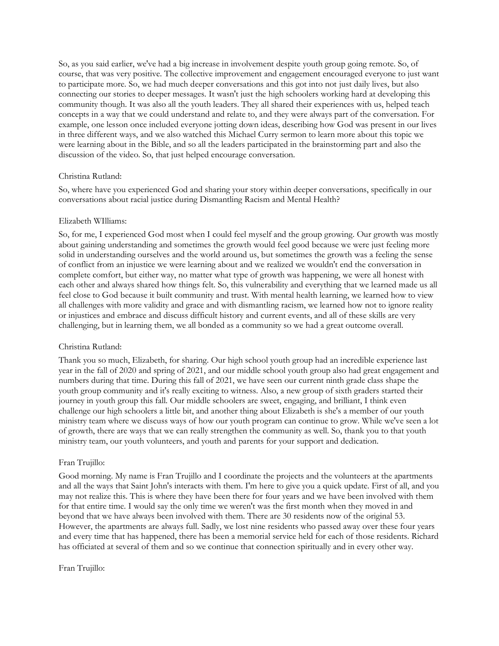So, as you said earlier, we've had a big increase in involvement despite youth group going remote. So, of course, that was very positive. The collective improvement and engagement encouraged everyone to just want to participate more. So, we had much deeper conversations and this got into not just daily lives, but also connecting our stories to deeper messages. It wasn't just the high schoolers working hard at developing this community though. It was also all the youth leaders. They all shared their experiences with us, helped teach concepts in a way that we could understand and relate to, and they were always part of the conversation. For example, one lesson once included everyone jotting down ideas, describing how God was present in our lives in three different ways, and we also watched this Michael Curry sermon to learn more about this topic we were learning about in the Bible, and so all the leaders participated in the brainstorming part and also the discussion of the video. So, that just helped encourage conversation.

### Christina Rutland:

So, where have you experienced God and sharing your story within deeper conversations, specifically in our conversations about racial justice during Dismantling Racism and Mental Health?

#### Elizabeth WIlliams:

So, for me, I experienced God most when I could feel myself and the group growing. Our growth was mostly about gaining understanding and sometimes the growth would feel good because we were just feeling more solid in understanding ourselves and the world around us, but sometimes the growth was a feeling the sense of conflict from an injustice we were learning about and we realized we wouldn't end the conversation in complete comfort, but either way, no matter what type of growth was happening, we were all honest with each other and always shared how things felt. So, this vulnerability and everything that we learned made us all feel close to God because it built community and trust. With mental health learning, we learned how to view all challenges with more validity and grace and with dismantling racism, we learned how not to ignore reality or injustices and embrace and discuss difficult history and current events, and all of these skills are very challenging, but in learning them, we all bonded as a community so we had a great outcome overall.

#### Christina Rutland:

Thank you so much, Elizabeth, for sharing. Our high school youth group had an incredible experience last year in the fall of 2020 and spring of 2021, and our middle school youth group also had great engagement and numbers during that time. During this fall of 2021, we have seen our current ninth grade class shape the youth group community and it's really exciting to witness. Also, a new group of sixth graders started their journey in youth group this fall. Our middle schoolers are sweet, engaging, and brilliant, I think even challenge our high schoolers a little bit, and another thing about Elizabeth is she's a member of our youth ministry team where we discuss ways of how our youth program can continue to grow. While we've seen a lot of growth, there are ways that we can really strengthen the community as well. So, thank you to that youth ministry team, our youth volunteers, and youth and parents for your support and dedication.

#### Fran Trujillo:

Good morning. My name is Fran Trujillo and I coordinate the projects and the volunteers at the apartments and all the ways that Saint John's interacts with them. I'm here to give you a quick update. First of all, and you may not realize this. This is where they have been there for four years and we have been involved with them for that entire time. I would say the only time we weren't was the first month when they moved in and beyond that we have always been involved with them. There are 30 residents now of the original 53. However, the apartments are always full. Sadly, we lost nine residents who passed away over these four years and every time that has happened, there has been a memorial service held for each of those residents. Richard has officiated at several of them and so we continue that connection spiritually and in every other way.

#### Fran Trujillo: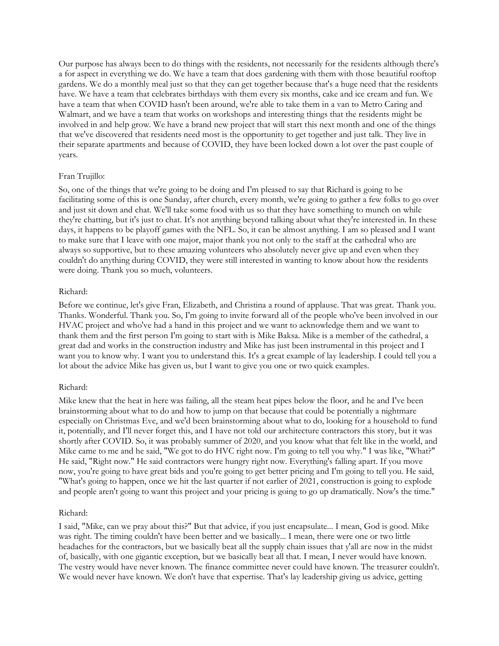Our purpose has always been to do things with the residents, not necessarily for the residents although there's a for aspect in everything we do. We have a team that does gardening with them with those beautiful rooftop gardens. We do a monthly meal just so that they can get together because that's a huge need that the residents have. We have a team that celebrates birthdays with them every six months, cake and ice cream and fun. We have a team that when COVID hasn't been around, we're able to take them in a van to Metro Caring and Walmart, and we have a team that works on workshops and interesting things that the residents might be involved in and help grow. We have a brand new project that will start this next month and one of the things that we've discovered that residents need most is the opportunity to get together and just talk. They live in their separate apartments and because of COVID, they have been locked down a lot over the past couple of years.

### Fran Trujillo:

So, one of the things that we're going to be doing and I'm pleased to say that Richard is going to be facilitating some of this is one Sunday, after church, every month, we're going to gather a few folks to go over and just sit down and chat. We'll take some food with us so that they have something to munch on while they're chatting, but it's just to chat. It's not anything beyond talking about what they're interested in. In these days, it happens to be playoff games with the NFL. So, it can be almost anything. I am so pleased and I want to make sure that I leave with one major, major thank you not only to the staff at the cathedral who are always so supportive, but to these amazing volunteers who absolutely never give up and even when they couldn't do anything during COVID, they were still interested in wanting to know about how the residents were doing. Thank you so much, volunteers.

#### Richard:

Before we continue, let's give Fran, Elizabeth, and Christina a round of applause. That was great. Thank you. Thanks. Wonderful. Thank you. So, I'm going to invite forward all of the people who've been involved in our HVAC project and who've had a hand in this project and we want to acknowledge them and we want to thank them and the first person I'm going to start with is Mike Baksa. Mike is a member of the cathedral, a great dad and works in the construction industry and Mike has just been instrumental in this project and I want you to know why. I want you to understand this. It's a great example of lay leadership. I could tell you a lot about the advice Mike has given us, but I want to give you one or two quick examples.

#### Richard:

Mike knew that the heat in here was failing, all the steam heat pipes below the floor, and he and I've been brainstorming about what to do and how to jump on that because that could be potentially a nightmare especially on Christmas Eve, and we'd been brainstorming about what to do, looking for a household to fund it, potentially, and I'll never forget this, and I have not told our architecture contractors this story, but it was shortly after COVID. So, it was probably summer of 2020, and you know what that felt like in the world, and Mike came to me and he said, "We got to do HVC right now. I'm going to tell you why." I was like, "What?" He said, "Right now." He said contractors were hungry right now. Everything's falling apart. If you move now, you're going to have great bids and you're going to get better pricing and I'm going to tell you. He said, "What's going to happen, once we hit the last quarter if not earlier of 2021, construction is going to explode and people aren't going to want this project and your pricing is going to go up dramatically. Now's the time."

#### Richard:

I said, "Mike, can we pray about this?" But that advice, if you just encapsulate... I mean, God is good. Mike was right. The timing couldn't have been better and we basically... I mean, there were one or two little headaches for the contractors, but we basically beat all the supply chain issues that y'all are now in the midst of, basically, with one gigantic exception, but we basically beat all that. I mean, I never would have known. The vestry would have never known. The finance committee never could have known. The treasurer couldn't. We would never have known. We don't have that expertise. That's lay leadership giving us advice, getting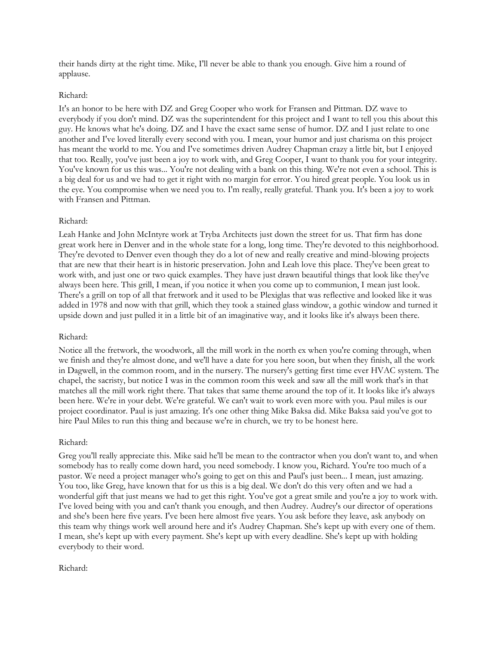their hands dirty at the right time. Mike, I'll never be able to thank you enough. Give him a round of applause.

### Richard:

It's an honor to be here with DZ and Greg Cooper who work for Fransen and Pittman. DZ wave to everybody if you don't mind. DZ was the superintendent for this project and I want to tell you this about this guy. He knows what he's doing. DZ and I have the exact same sense of humor. DZ and I just relate to one another and I've loved literally every second with you. I mean, your humor and just charisma on this project has meant the world to me. You and I've sometimes driven Audrey Chapman crazy a little bit, but I enjoyed that too. Really, you've just been a joy to work with, and Greg Cooper, I want to thank you for your integrity. You've known for us this was... You're not dealing with a bank on this thing. We're not even a school. This is a big deal for us and we had to get it right with no margin for error. You hired great people. You look us in the eye. You compromise when we need you to. I'm really, really grateful. Thank you. It's been a joy to work with Fransen and Pittman.

### Richard:

Leah Hanke and John McIntyre work at Tryba Architects just down the street for us. That firm has done great work here in Denver and in the whole state for a long, long time. They're devoted to this neighborhood. They're devoted to Denver even though they do a lot of new and really creative and mind-blowing projects that are new that their heart is in historic preservation. John and Leah love this place. They've been great to work with, and just one or two quick examples. They have just drawn beautiful things that look like they've always been here. This grill, I mean, if you notice it when you come up to communion, I mean just look. There's a grill on top of all that fretwork and it used to be Plexiglas that was reflective and looked like it was added in 1978 and now with that grill, which they took a stained glass window, a gothic window and turned it upside down and just pulled it in a little bit of an imaginative way, and it looks like it's always been there.

#### Richard:

Notice all the fretwork, the woodwork, all the mill work in the north ex when you're coming through, when we finish and they're almost done, and we'll have a date for you here soon, but when they finish, all the work in Dagwell, in the common room, and in the nursery. The nursery's getting first time ever HVAC system. The chapel, the sacristy, but notice I was in the common room this week and saw all the mill work that's in that matches all the mill work right there. That takes that same theme around the top of it. It looks like it's always been here. We're in your debt. We're grateful. We can't wait to work even more with you. Paul miles is our project coordinator. Paul is just amazing. It's one other thing Mike Baksa did. Mike Baksa said you've got to hire Paul Miles to run this thing and because we're in church, we try to be honest here.

#### Richard:

Greg you'll really appreciate this. Mike said he'll be mean to the contractor when you don't want to, and when somebody has to really come down hard, you need somebody. I know you, Richard. You're too much of a pastor. We need a project manager who's going to get on this and Paul's just been... I mean, just amazing. You too, like Greg, have known that for us this is a big deal. We don't do this very often and we had a wonderful gift that just means we had to get this right. You've got a great smile and you're a joy to work with. I've loved being with you and can't thank you enough, and then Audrey. Audrey's our director of operations and she's been here five years. I've been here almost five years. You ask before they leave, ask anybody on this team why things work well around here and it's Audrey Chapman. She's kept up with every one of them. I mean, she's kept up with every payment. She's kept up with every deadline. She's kept up with holding everybody to their word.

#### Richard: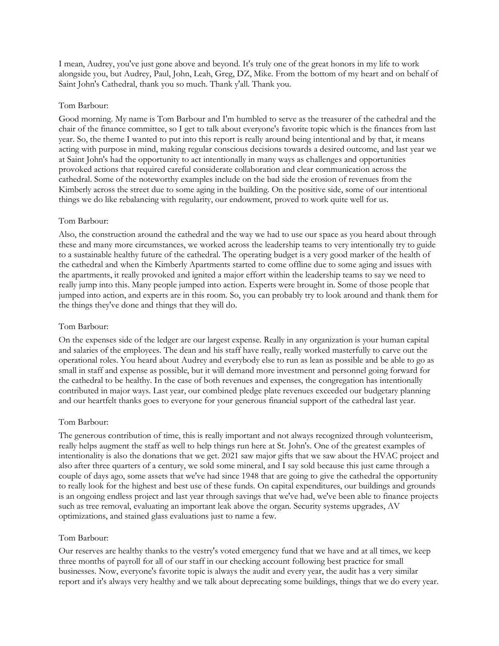I mean, Audrey, you've just gone above and beyond. It's truly one of the great honors in my life to work alongside you, but Audrey, Paul, John, Leah, Greg, DZ, Mike. From the bottom of my heart and on behalf of Saint John's Cathedral, thank you so much. Thank y'all. Thank you.

### Tom Barbour:

Good morning. My name is Tom Barbour and I'm humbled to serve as the treasurer of the cathedral and the chair of the finance committee, so I get to talk about everyone's favorite topic which is the finances from last year. So, the theme I wanted to put into this report is really around being intentional and by that, it means acting with purpose in mind, making regular conscious decisions towards a desired outcome, and last year we at Saint John's had the opportunity to act intentionally in many ways as challenges and opportunities provoked actions that required careful considerate collaboration and clear communication across the cathedral. Some of the noteworthy examples include on the bad side the erosion of revenues from the Kimberly across the street due to some aging in the building. On the positive side, some of our intentional things we do like rebalancing with regularity, our endowment, proved to work quite well for us.

### Tom Barbour:

Also, the construction around the cathedral and the way we had to use our space as you heard about through these and many more circumstances, we worked across the leadership teams to very intentionally try to guide to a sustainable healthy future of the cathedral. The operating budget is a very good marker of the health of the cathedral and when the Kimberly Apartments started to come offline due to some aging and issues with the apartments, it really provoked and ignited a major effort within the leadership teams to say we need to really jump into this. Many people jumped into action. Experts were brought in. Some of those people that jumped into action, and experts are in this room. So, you can probably try to look around and thank them for the things they've done and things that they will do.

### Tom Barbour:

On the expenses side of the ledger are our largest expense. Really in any organization is your human capital and salaries of the employees. The dean and his staff have really, really worked masterfully to carve out the operational roles. You heard about Audrey and everybody else to run as lean as possible and be able to go as small in staff and expense as possible, but it will demand more investment and personnel going forward for the cathedral to be healthy. In the case of both revenues and expenses, the congregation has intentionally contributed in major ways. Last year, our combined pledge plate revenues exceeded our budgetary planning and our heartfelt thanks goes to everyone for your generous financial support of the cathedral last year.

# Tom Barbour:

The generous contribution of time, this is really important and not always recognized through volunteerism, really helps augment the staff as well to help things run here at St. John's. One of the greatest examples of intentionality is also the donations that we get. 2021 saw major gifts that we saw about the HVAC project and also after three quarters of a century, we sold some mineral, and I say sold because this just came through a couple of days ago, some assets that we've had since 1948 that are going to give the cathedral the opportunity to really look for the highest and best use of these funds. On capital expenditures, our buildings and grounds is an ongoing endless project and last year through savings that we've had, we've been able to finance projects such as tree removal, evaluating an important leak above the organ. Security systems upgrades, AV optimizations, and stained glass evaluations just to name a few.

#### Tom Barbour:

Our reserves are healthy thanks to the vestry's voted emergency fund that we have and at all times, we keep three months of payroll for all of our staff in our checking account following best practice for small businesses. Now, everyone's favorite topic is always the audit and every year, the audit has a very similar report and it's always very healthy and we talk about deprecating some buildings, things that we do every year.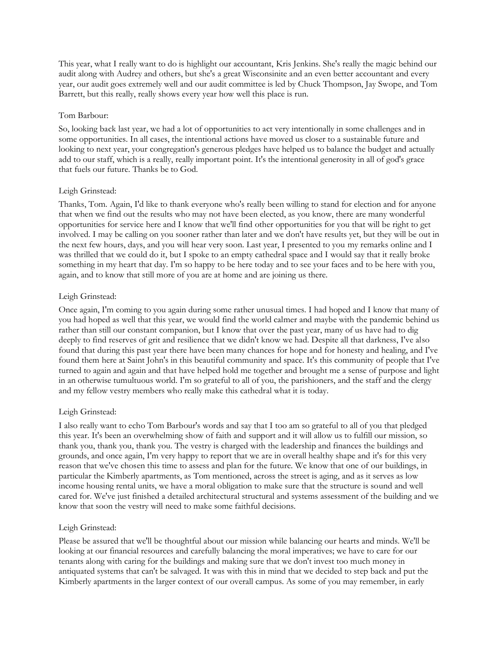This year, what I really want to do is highlight our accountant, Kris Jenkins. She's really the magic behind our audit along with Audrey and others, but she's a great Wisconsinite and an even better accountant and every year, our audit goes extremely well and our audit committee is led by Chuck Thompson, Jay Swope, and Tom Barrett, but this really, really shows every year how well this place is run.

### Tom Barbour:

So, looking back last year, we had a lot of opportunities to act very intentionally in some challenges and in some opportunities. In all cases, the intentional actions have moved us closer to a sustainable future and looking to next year, your congregation's generous pledges have helped us to balance the budget and actually add to our staff, which is a really, really important point. It's the intentional generosity in all of god's grace that fuels our future. Thanks be to God.

### Leigh Grinstead:

Thanks, Tom. Again, I'd like to thank everyone who's really been willing to stand for election and for anyone that when we find out the results who may not have been elected, as you know, there are many wonderful opportunities for service here and I know that we'll find other opportunities for you that will be right to get involved. I may be calling on you sooner rather than later and we don't have results yet, but they will be out in the next few hours, days, and you will hear very soon. Last year, I presented to you my remarks online and I was thrilled that we could do it, but I spoke to an empty cathedral space and I would say that it really broke something in my heart that day. I'm so happy to be here today and to see your faces and to be here with you, again, and to know that still more of you are at home and are joining us there.

# Leigh Grinstead:

Once again, I'm coming to you again during some rather unusual times. I had hoped and I know that many of you had hoped as well that this year, we would find the world calmer and maybe with the pandemic behind us rather than still our constant companion, but I know that over the past year, many of us have had to dig deeply to find reserves of grit and resilience that we didn't know we had. Despite all that darkness, I've also found that during this past year there have been many chances for hope and for honesty and healing, and I've found them here at Saint John's in this beautiful community and space. It's this community of people that I've turned to again and again and that have helped hold me together and brought me a sense of purpose and light in an otherwise tumultuous world. I'm so grateful to all of you, the parishioners, and the staff and the clergy and my fellow vestry members who really make this cathedral what it is today.

#### Leigh Grinstead:

I also really want to echo Tom Barbour's words and say that I too am so grateful to all of you that pledged this year. It's been an overwhelming show of faith and support and it will allow us to fulfill our mission, so thank you, thank you, thank you. The vestry is charged with the leadership and finances the buildings and grounds, and once again, I'm very happy to report that we are in overall healthy shape and it's for this very reason that we've chosen this time to assess and plan for the future. We know that one of our buildings, in particular the Kimberly apartments, as Tom mentioned, across the street is aging, and as it serves as low income housing rental units, we have a moral obligation to make sure that the structure is sound and well cared for. We've just finished a detailed architectural structural and systems assessment of the building and we know that soon the vestry will need to make some faithful decisions.

#### Leigh Grinstead:

Please be assured that we'll be thoughtful about our mission while balancing our hearts and minds. We'll be looking at our financial resources and carefully balancing the moral imperatives; we have to care for our tenants along with caring for the buildings and making sure that we don't invest too much money in antiquated systems that can't be salvaged. It was with this in mind that we decided to step back and put the Kimberly apartments in the larger context of our overall campus. As some of you may remember, in early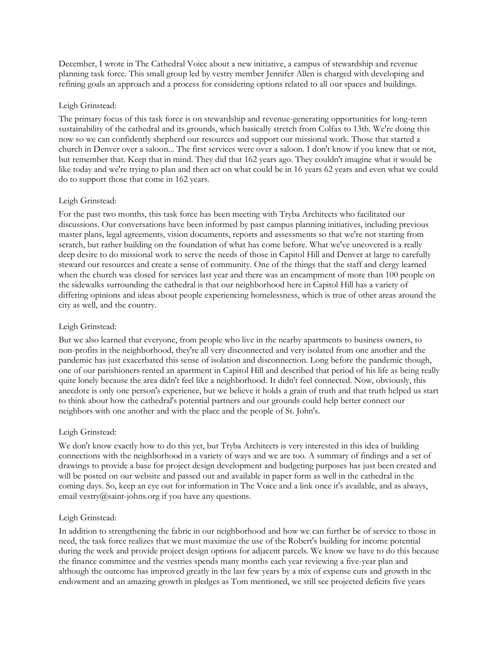December, I wrote in The Cathedral Voice about a new initiative, a campus of stewardship and revenue planning task force. This small group led by vestry member Jennifer Allen is charged with developing and refining goals an approach and a process for considering options related to all our spaces and buildings.

## Leigh Grinstead:

The primary focus of this task force is on stewardship and revenue-generating opportunities for long-term sustainability of the cathedral and its grounds, which basically stretch from Colfax to 13th. We're doing this now so we can confidently shepherd our resources and support our missional work. Those that started a church in Denver over a saloon... The first services were over a saloon. I don't know if you knew that or not, but remember that. Keep that in mind. They did that 162 years ago. They couldn't imagine what it would be like today and we're trying to plan and then act on what could be in 16 years 62 years and even what we could do to support those that come in 162 years.

### Leigh Grinstead:

For the past two months, this task force has been meeting with Tryba Architects who facilitated our discussions. Our conversations have been informed by past campus planning initiatives, including previous master plans, legal agreements, vision documents, reports and assessments so that we're not starting from scratch, but rather building on the foundation of what has come before. What we've uncovered is a really deep desire to do missional work to serve the needs of those in Capitol Hill and Denver at large to carefully steward our resources and create a sense of community. One of the things that the staff and clergy learned when the church was closed for services last year and there was an encampment of more than 100 people on the sidewalks surrounding the cathedral is that our neighborhood here in Capitol Hill has a variety of differing opinions and ideas about people experiencing homelessness, which is true of other areas around the city as well, and the country.

## Leigh Grinstead:

But we also learned that everyone, from people who live in the nearby apartments to business owners, to non-profits in the neighborhood, they're all very disconnected and very isolated from one another and the pandemic has just exacerbated this sense of isolation and disconnection. Long before the pandemic though, one of our parishioners rented an apartment in Capitol Hill and described that period of his life as being really quite lonely because the area didn't feel like a neighborhood. It didn't feel connected. Now, obviously, this anecdote is only one person's experience, but we believe it holds a grain of truth and that truth helped us start to think about how the cathedral's potential partners and our grounds could help better connect our neighbors with one another and with the place and the people of St. John's.

#### Leigh Grinstead:

We don't know exactly how to do this yet, but Tryba Architects is very interested in this idea of building connections with the neighborhood in a variety of ways and we are too. A summary of findings and a set of drawings to provide a base for project design development and budgeting purposes has just been created and will be posted on our website and passed out and available in paper form as well in the cathedral in the coming days. So, keep an eye out for information in The Voice and a link once it's available, and as always, email vestry@saint-johns.org if you have any questions.

#### Leigh Grinstead:

In addition to strengthening the fabric in our neighborhood and how we can further be of service to those in need, the task force realizes that we must maximize the use of the Robert's building for income potential during the week and provide project design options for adjacent parcels. We know we have to do this because the finance committee and the vestries spends many months each year reviewing a five-year plan and although the outcome has improved greatly in the last few years by a mix of expense cuts and growth in the endowment and an amazing growth in pledges as Tom mentioned, we still see projected deficits five years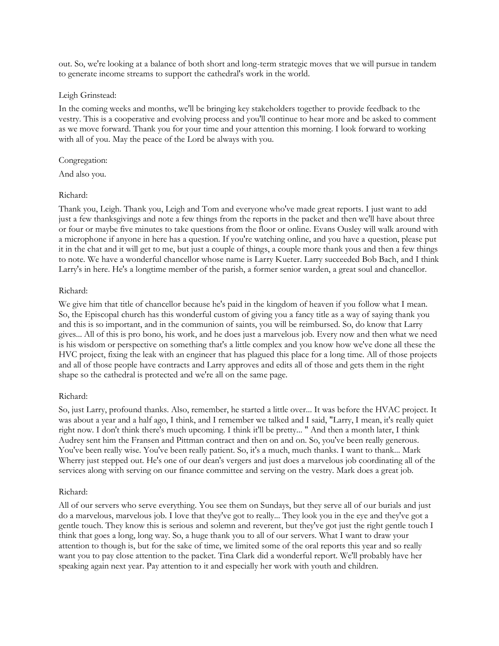out. So, we're looking at a balance of both short and long-term strategic moves that we will pursue in tandem to generate income streams to support the cathedral's work in the world.

#### Leigh Grinstead:

In the coming weeks and months, we'll be bringing key stakeholders together to provide feedback to the vestry. This is a cooperative and evolving process and you'll continue to hear more and be asked to comment as we move forward. Thank you for your time and your attention this morning. I look forward to working with all of you. May the peace of the Lord be always with you.

#### Congregation:

And also you.

#### Richard:

Thank you, Leigh. Thank you, Leigh and Tom and everyone who've made great reports. I just want to add just a few thanksgivings and note a few things from the reports in the packet and then we'll have about three or four or maybe five minutes to take questions from the floor or online. Evans Ousley will walk around with a microphone if anyone in here has a question. If you're watching online, and you have a question, please put it in the chat and it will get to me, but just a couple of things, a couple more thank yous and then a few things to note. We have a wonderful chancellor whose name is Larry Kueter. Larry succeeded Bob Bach, and I think Larry's in here. He's a longtime member of the parish, a former senior warden, a great soul and chancellor.

#### Richard:

We give him that title of chancellor because he's paid in the kingdom of heaven if you follow what I mean. So, the Episcopal church has this wonderful custom of giving you a fancy title as a way of saying thank you and this is so important, and in the communion of saints, you will be reimbursed. So, do know that Larry gives... All of this is pro bono, his work, and he does just a marvelous job. Every now and then what we need is his wisdom or perspective on something that's a little complex and you know how we've done all these the HVC project, fixing the leak with an engineer that has plagued this place for a long time. All of those projects and all of those people have contracts and Larry approves and edits all of those and gets them in the right shape so the cathedral is protected and we're all on the same page.

#### Richard:

So, just Larry, profound thanks. Also, remember, he started a little over... It was before the HVAC project. It was about a year and a half ago, I think, and I remember we talked and I said, "Larry, I mean, it's really quiet right now. I don't think there's much upcoming. I think it'll be pretty... " And then a month later, I think Audrey sent him the Fransen and Pittman contract and then on and on. So, you've been really generous. You've been really wise. You've been really patient. So, it's a much, much thanks. I want to thank... Mark Wherry just stepped out. He's one of our dean's vergers and just does a marvelous job coordinating all of the services along with serving on our finance committee and serving on the vestry. Mark does a great job.

#### Richard:

All of our servers who serve everything. You see them on Sundays, but they serve all of our burials and just do a marvelous, marvelous job. I love that they've got to really... They look you in the eye and they've got a gentle touch. They know this is serious and solemn and reverent, but they've got just the right gentle touch I think that goes a long, long way. So, a huge thank you to all of our servers. What I want to draw your attention to though is, but for the sake of time, we limited some of the oral reports this year and so really want you to pay close attention to the packet. Tina Clark did a wonderful report. We'll probably have her speaking again next year. Pay attention to it and especially her work with youth and children.